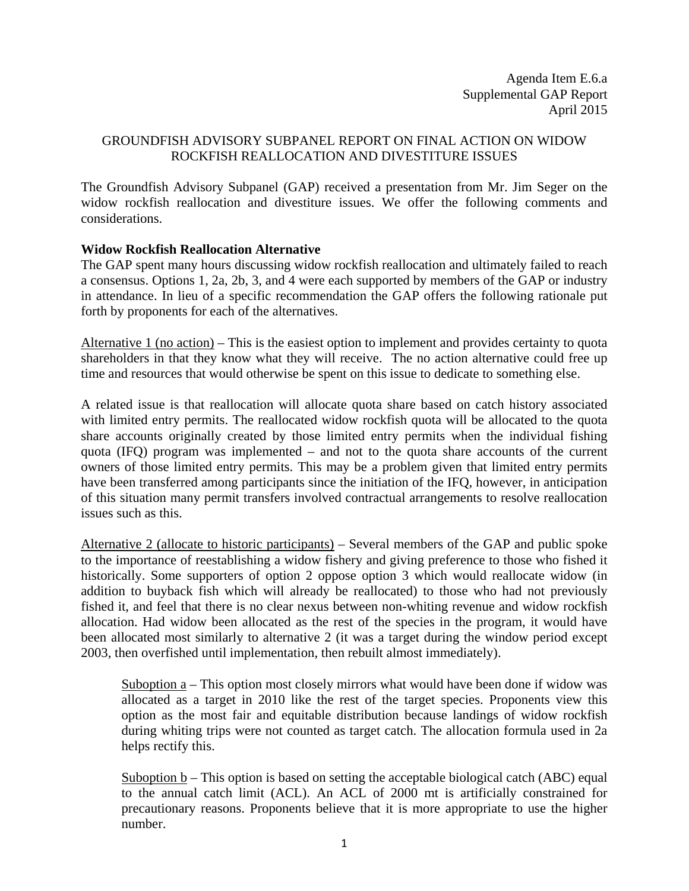Agenda Item E.6.a Supplemental GAP Report April 2015

## GROUNDFISH ADVISORY SUBPANEL REPORT ON FINAL ACTION ON WIDOW ROCKFISH REALLOCATION AND DIVESTITURE ISSUES

The Groundfish Advisory Subpanel (GAP) received a presentation from Mr. Jim Seger on the widow rockfish reallocation and divestiture issues. We offer the following comments and considerations.

## **Widow Rockfish Reallocation Alternative**

The GAP spent many hours discussing widow rockfish reallocation and ultimately failed to reach a consensus. Options 1, 2a, 2b, 3, and 4 were each supported by members of the GAP or industry in attendance. In lieu of a specific recommendation the GAP offers the following rationale put forth by proponents for each of the alternatives.

Alternative 1 (no action) – This is the easiest option to implement and provides certainty to quota shareholders in that they know what they will receive. The no action alternative could free up time and resources that would otherwise be spent on this issue to dedicate to something else.

A related issue is that reallocation will allocate quota share based on catch history associated with limited entry permits. The reallocated widow rockfish quota will be allocated to the quota share accounts originally created by those limited entry permits when the individual fishing quota (IFQ) program was implemented – and not to the quota share accounts of the current owners of those limited entry permits. This may be a problem given that limited entry permits have been transferred among participants since the initiation of the IFQ, however, in anticipation of this situation many permit transfers involved contractual arrangements to resolve reallocation issues such as this.

Alternative 2 (allocate to historic participants) – Several members of the GAP and public spoke to the importance of reestablishing a widow fishery and giving preference to those who fished it historically. Some supporters of option 2 oppose option 3 which would reallocate widow (in addition to buyback fish which will already be reallocated) to those who had not previously fished it, and feel that there is no clear nexus between non-whiting revenue and widow rockfish allocation. Had widow been allocated as the rest of the species in the program, it would have been allocated most similarly to alternative 2 (it was a target during the window period except 2003, then overfished until implementation, then rebuilt almost immediately).

Suboption  $a$  – This option most closely mirrors what would have been done if widow was allocated as a target in 2010 like the rest of the target species. Proponents view this option as the most fair and equitable distribution because landings of widow rockfish during whiting trips were not counted as target catch. The allocation formula used in 2a helps rectify this.

Suboption b – This option is based on setting the acceptable biological catch (ABC) equal to the annual catch limit (ACL). An ACL of 2000 mt is artificially constrained for precautionary reasons. Proponents believe that it is more appropriate to use the higher number.